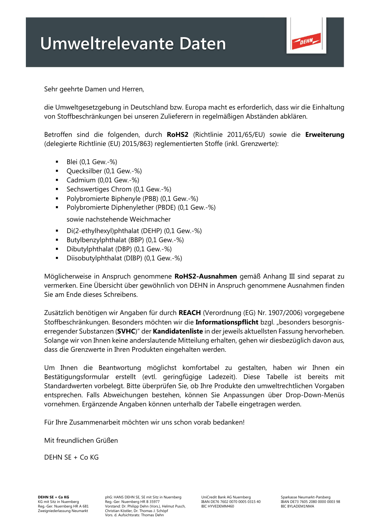## **Umweltrelevante Daten**



Sehr geehrte Damen und Herren,

die Umweltgesetzgebung in Deutschland bzw. Europa macht es erforderlich, dass wir die Einhaltung von Stoffbeschränkungen bei unseren Zulieferern in regelmäßigen Abständen abklären.

Betroffen sind die folgenden, durch **RoHS2** (Richtlinie 2011/65/EU) sowie die **Erweiterung** (delegierte Richtlinie (EU) 2015/863) reglementierten Stoffe (inkl. Grenzwerte):

- $\blacksquare$  Blei (0,1 Gew.-%)
- Quecksilber (0,1 Gew.-%)
- Cadmium (0,01 Gew.-%)
- Sechswertiges Chrom (0,1 Gew.-%)
- Polybromierte Biphenyle (PBB) (0,1 Gew.-%)
- Polybromierte Diphenylether (PBDE) (0,1 Gew.-%)

sowie nachstehende Weichmacher

- Di(2-ethylhexyl)phthalat (DEHP) (0,1 Gew.-%)
- Butylbenzylphthalat (BBP) (0,1 Gew.-%)
- Dibutylphthalat (DBP) (0,1 Gew.-%)
- Diisobutylphthalat (DIBP) (0,1 Gew.-%)

Möglicherweise in Anspruch genommene **RoHS2-Ausnahmen** gemäß Anhang III sind separat zu vermerken. Eine Übersicht über gewöhnlich von DEHN in Anspruch genommene Ausnahmen finden Sie am Ende dieses Schreibens.

Zusätzlich benötigen wir Angaben für durch **REACH** (Verordnung (EG) Nr. 1907/2006) vorgegebene Stoffbeschränkungen. Besonders möchten wir die **Informationspflicht** bzgl. "besonders besorgniserregender Substanzen (**SVHC**)" der **Kandidatenliste** in der jeweils aktuellsten Fassung hervorheben. Solange wir von Ihnen keine anderslautende Mitteilung erhalten, gehen wir diesbezüglich davon aus, dass die Grenzwerte in Ihren Produkten eingehalten werden.

Um Ihnen die Beantwortung möglichst komfortabel zu gestalten, haben wir Ihnen ein Bestätigungsformular erstellt (evtl. geringfügige Ladezeit). Diese Tabelle ist bereits mit Standardwerten vorbelegt. Bitte überprüfen Sie, ob Ihre Produkte den umweltrechtlichen Vorgaben entsprechen. Falls Abweichungen bestehen, können Sie Anpassungen über Drop-Down-Menüs vornehmen. Ergänzende Angaben können unterhalb der Tabelle eingetragen werden.

Für Ihre Zusammenarbeit möchten wir uns schon vorab bedanken!

Mit freundlichen Grüßen

DEHN  $SF + Co$  KG

**DEHN SE + Co KG** phG: HANS DEHN SE, SE mit Sitz in Nuernberg UniCredit Bank AG Nuernberg Sparkasse Neumarkt-Parsberg<br>Re mit Sitz in Nuernberg Reg.-Ger. Nuernberg HR B 35977 BAN DE76 7602 0070 0005 0315 40 IBAN DE73 7605 2 KG mit Sitz in Nuemberg A 681 – Reg.-Ger. Nuemberg HR B 35977 – IBAN DE76 7602 0070 0005 0315 40 – IBAN DE73 7605 2080 0000 0003 98<br>Reg.-Ger. Nuemberg HR A 681 – Vorstand: Dr. Philipp Dehn (Vors.), Helmut Pusch, – BIC HYVE Vors. d. Aufsichtsrats: Thomas Dehn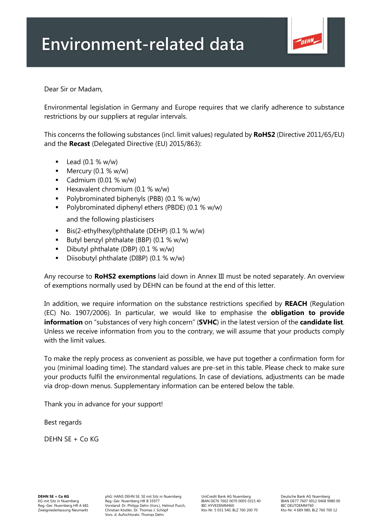

Dear Sir or Madam,

Environmental legislation in Germany and Europe requires that we clarify adherence to substance restrictions by our suppliers at regular intervals.

This concerns the following substances (incl. limit values) regulated by **RoHS2** (Directive 2011/65/EU) and the **Recast** (Delegated Directive (EU) 2015/863):

- $\blacksquare$  Lead (0.1 % w/w)
- $\blacksquare$  Mercury (0.1 % w/w)
- Cadmium  $(0.01 % w/w)$
- **E** Hexavalent chromium  $(0.1 % w/w)$
- Polybrominated biphenyls (PBB) (0.1 % w/w)
- Polybrominated diphenyl ethers (PBDE) (0.1 % w/w)

and the following plasticisers

- Bis(2-ethylhexyl)phthalate (DEHP) (0.1 % w/w)
- **•** Butyl benzyl phthalate (BBP)  $(0.1 % w/w)$
- Dibutyl phthalate (DBP) (0.1 % w/w)
- Diisobutyl phthalate (DIBP) (0.1 % w/w)

Any recourse to **RoHS2 exemptions** laid down in Annex III must be noted separately. An overview of exemptions normally used by DEHN can be found at the end of this letter.

In addition, we require information on the substance restrictions specified by **REACH** (Regulation (EC) No. 1907/2006). In particular, we would like to emphasise the **obligation to provide information** on "substances of very high concern" (**SVHC**) in the latest version of the **candidate list**. Unless we receive information from you to the contrary, we will assume that your products comply with the limit values.

To make the reply process as convenient as possible, we have put together a confirmation form for you (minimal loading time). The standard values are pre-set in this table. Please check to make sure your products fulfil the environmental regulations. In case of deviations, adjustments can be made via drop-down menus. Supplementary information can be entered below the table.

Thank you in advance for your support!

Best regards

DEHN SE + Co KG

**DEHN SE + Co KG** phG: HANS DEHN SE, SE mit Sitz in Nuernberg UniCredit Bank AG Nuernberg Deutsche Bank AG Nuernberg<br>Puncer of the Bank Aged Aged Corporation Bank DET 1600 Deutsche Deutsche Deutsche Bank DE77 7607 0012 046 KG mit Sitz in Nuemberg Reg.-Ger. Nuemberg HR B 35977 IBAN DE76 7602 0070 0005 0315 40 IBAN DE77 7607 0012 0468 9980 00<br>Reg.-Ger. Nuemberg HR A 681 Vorstand: Dr. Philipp Dehn (Vors.), Helmut Pusch, Zweigniederlassung Neumarkt Christian Köstler, Dr. Thomas J. Schöpf Kto-Nr. 5 031 540, BLZ 760 200 70 Kto-Nr. 4 689 980, BLZ 760 700 12 Vors. d. Aufsichtsrats: Thomas Dehn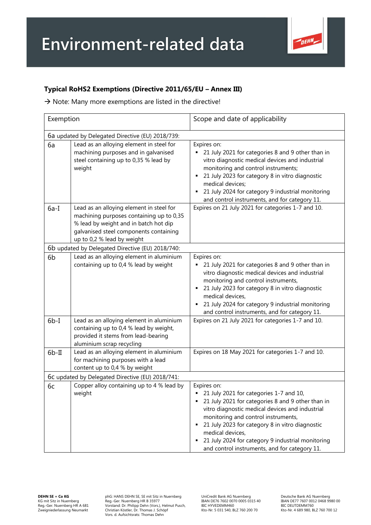

## **Typical RoHS2 Exemptions (Directive 2011/65/EU – Annex III)**

 $\rightarrow$  Note: Many more exemptions are listed in the directive!

| Exemption                                        |                                                                                                                                                                                                       | Scope and date of applicability                                                                                                                                                                                                                                                                                                                                                    |  |
|--------------------------------------------------|-------------------------------------------------------------------------------------------------------------------------------------------------------------------------------------------------------|------------------------------------------------------------------------------------------------------------------------------------------------------------------------------------------------------------------------------------------------------------------------------------------------------------------------------------------------------------------------------------|--|
| 6a updated by Delegated Directive (EU) 2018/739: |                                                                                                                                                                                                       |                                                                                                                                                                                                                                                                                                                                                                                    |  |
| 6a                                               | Lead as an alloying element in steel for<br>machining purposes and in galvanised<br>steel containing up to 0,35 % lead by<br>weight                                                                   | Expires on:<br>21 July 2021 for categories 8 and 9 other than in<br>vitro diagnostic medical devices and industrial<br>monitoring and control instruments;<br>21 July 2023 for category 8 in vitro diagnostic<br>medical devices;<br>21 July 2024 for category 9 industrial monitoring<br>and control instruments, and for category 11.                                            |  |
| $6a-I$                                           | Lead as an alloying element in steel for<br>machining purposes containing up to 0,35<br>% lead by weight and in batch hot dip<br>galvanised steel components containing<br>up to 0,2 % lead by weight | Expires on 21 July 2021 for categories 1-7 and 10.                                                                                                                                                                                                                                                                                                                                 |  |
| 6b updated by Delegated Directive (EU) 2018/740: |                                                                                                                                                                                                       |                                                                                                                                                                                                                                                                                                                                                                                    |  |
| 6 <sub>b</sub>                                   | Lead as an alloying element in aluminium<br>containing up to 0,4 % lead by weight                                                                                                                     | Expires on:<br>21 July 2021 for categories 8 and 9 other than in<br>vitro diagnostic medical devices and industrial<br>monitoring and control instruments,<br>21 July 2023 for category 8 in vitro diagnostic<br>medical devices,<br>21 July 2024 for category 9 industrial monitoring<br>and control instruments, and for category 11.                                            |  |
| $6b-I$                                           | Lead as an alloying element in aluminium<br>containing up to 0,4 % lead by weight,<br>provided it stems from lead-bearing<br>aluminium scrap recycling                                                | Expires on 21 July 2021 for categories 1-7 and 10.                                                                                                                                                                                                                                                                                                                                 |  |
| $6b-II$                                          | Lead as an alloying element in aluminium<br>for machining purposes with a lead<br>content up to 0,4 % by weight                                                                                       | Expires on 18 May 2021 for categories 1-7 and 10.                                                                                                                                                                                                                                                                                                                                  |  |
| 6c updated by Delegated Directive (EU) 2018/741: |                                                                                                                                                                                                       |                                                                                                                                                                                                                                                                                                                                                                                    |  |
| 6c                                               | Copper alloy containing up to 4 % lead by<br>weight                                                                                                                                                   | Expires on:<br>21 July 2021 for categories 1-7 and 10,<br>21 July 2021 for categories 8 and 9 other than in<br>vitro diagnostic medical devices and industrial<br>monitoring and control instruments,<br>21 July 2023 for category 8 in vitro diagnostic<br>medical devices,<br>21 July 2024 for category 9 industrial monitoring<br>and control instruments, and for category 11. |  |

**DEHN SE + Co KG** phG: HANS DEHN SE, SE mit Sitz in Nuernberg UniCredit Bank AG Nuernberg Deutsche Bank AG Nuernberg KG mit Sitz in Nuernberg Reg.-Ger. Nuernberg HR B 35977 IBAN DE76 7602 0070 0005 0315 40 IBAN DE77 7607 0012 0468 9980 00 Reg.-Ger. Nuernberg HR A 681 Vorstand: Dr. Philipp Dehn (Vors.), Helmut Pusch, BIC HYVEDEMM460 BIC DEUTDEMM760 Zweigniederlassung Neumarkt Christian Köstler, Dr. Thomas J. Schöpf Kto-Nr. 5 031 540, BLZ 760 200 70 Kto-Nr. 4 689 980, BLZ 760 700 12 Vors. d. Aufsichtsrats: Thomas Dehn